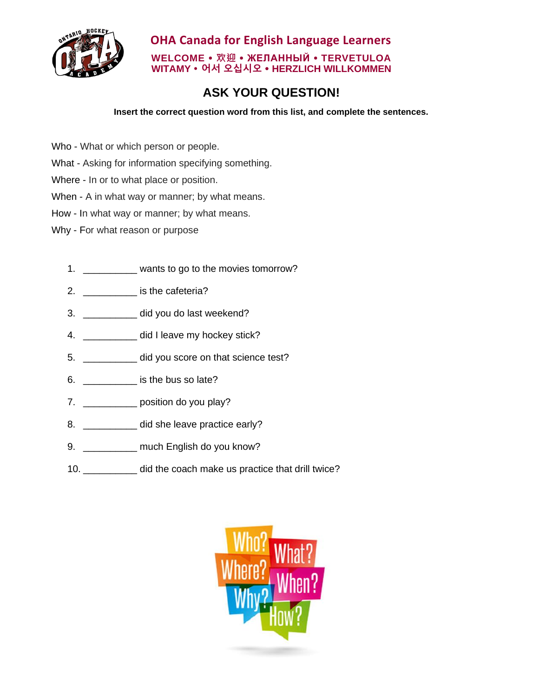

**OHA Canada for English Language Learners WELCOME 欢迎 ЖЕЛАННЫЙ TERVETULOA WITAMY 어서 오십시오 HERZLICH WILLKOMMEN**

## **ASK YOUR QUESTION!**

**Insert the correct question word from this list, and complete the sentences.**

- Who What or which person or people.
- What Asking for information specifying something.
- Where In or to what place or position.
- When A in what way or manner; by what means.
- How In what way or manner; by what means.
- Why For what reason or purpose
	- 1. **Example 2** wants to go to the movies tomorrow?
	- 2. \_\_\_\_\_\_\_\_\_\_\_\_\_ is the cafeteria?
	- 3. \_\_\_\_\_\_\_\_\_\_\_ did you do last weekend?
	- 4. \_\_\_\_\_\_\_\_\_\_\_ did I leave my hockey stick?
	- 5. \_\_\_\_\_\_\_\_\_\_ did you score on that science test?
	- 6. \_\_\_\_\_\_\_\_\_\_ is the bus so late?
	- 7. \_\_\_\_\_\_\_\_\_\_\_\_\_ position do you play?
	- 8. **did she leave practice early?**
	- 9. \_\_\_\_\_\_\_\_\_\_\_ much English do you know?
	- 10. \_\_\_\_\_\_\_\_\_\_ did the coach make us practice that drill twice?